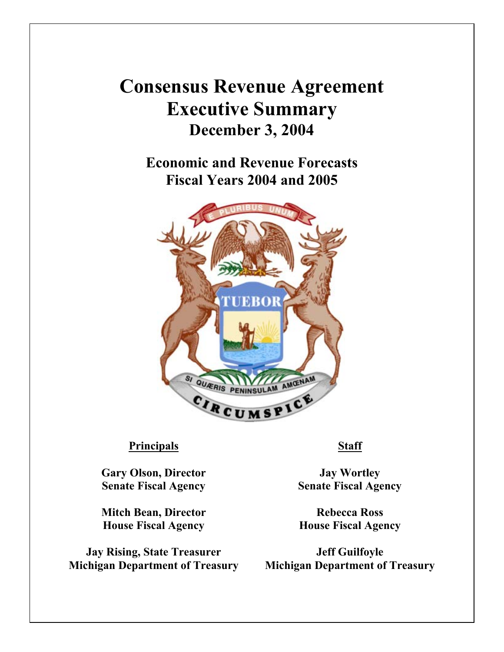## **Consensus Revenue Agreement Executive Summary December 3, 2004**

**Economic and Revenue Forecasts Fiscal Years 2004 and 2005**



## **Principals Staff**

**Gary Olson, Director Senate Fiscal Agency**

**Mitch Bean, Director House Fiscal Agency**

**Jay Rising, State Treasurer Michigan Department of Treasury**

**Jay Wortley Senate Fiscal Agency**

**Rebecca Ross House Fiscal Agency**

**Jeff Guilfoyle Michigan Department of Treasury**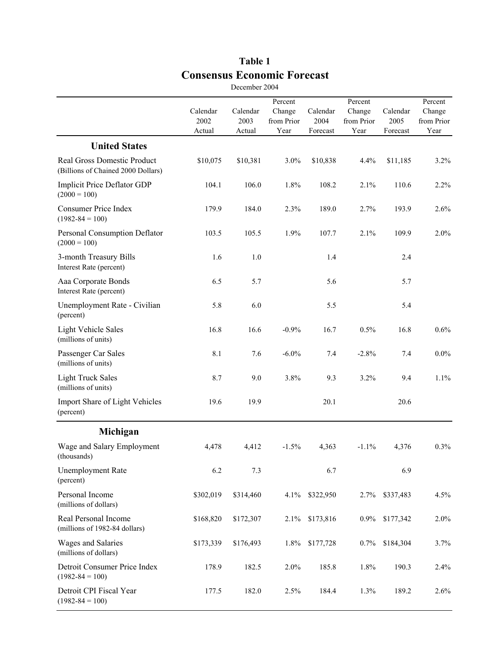|                                                                   |                            | December 2004              |                                         |                              |                                         |                              |                                         |
|-------------------------------------------------------------------|----------------------------|----------------------------|-----------------------------------------|------------------------------|-----------------------------------------|------------------------------|-----------------------------------------|
|                                                                   | Calendar<br>2002<br>Actual | Calendar<br>2003<br>Actual | Percent<br>Change<br>from Prior<br>Year | Calendar<br>2004<br>Forecast | Percent<br>Change<br>from Prior<br>Year | Calendar<br>2005<br>Forecast | Percent<br>Change<br>from Prior<br>Year |
| <b>United States</b>                                              |                            |                            |                                         |                              |                                         |                              |                                         |
| Real Gross Domestic Product<br>(Billions of Chained 2000 Dollars) | \$10,075                   | \$10,381                   | 3.0%                                    | \$10,838                     | 4.4%                                    | \$11,185                     | 3.2%                                    |
| Implicit Price Deflator GDP<br>$(2000 = 100)$                     | 104.1                      | 106.0                      | 1.8%                                    | 108.2                        | 2.1%                                    | 110.6                        | 2.2%                                    |
| <b>Consumer Price Index</b><br>$(1982 - 84 = 100)$                | 179.9                      | 184.0                      | 2.3%                                    | 189.0                        | 2.7%                                    | 193.9                        | 2.6%                                    |
| Personal Consumption Deflator<br>$(2000 = 100)$                   | 103.5                      | 105.5                      | 1.9%                                    | 107.7                        | 2.1%                                    | 109.9                        | 2.0%                                    |
| 3-month Treasury Bills<br>Interest Rate (percent)                 | 1.6                        | 1.0                        |                                         | 1.4                          |                                         | 2.4                          |                                         |
| Aaa Corporate Bonds<br>Interest Rate (percent)                    | 6.5                        | 5.7                        |                                         | 5.6                          |                                         | 5.7                          |                                         |
| Unemployment Rate - Civilian<br>(percent)                         | 5.8                        | 6.0                        |                                         | 5.5                          |                                         | 5.4                          |                                         |
| <b>Light Vehicle Sales</b><br>(millions of units)                 | 16.8                       | 16.6                       | $-0.9%$                                 | 16.7                         | 0.5%                                    | 16.8                         | 0.6%                                    |
| Passenger Car Sales<br>(millions of units)                        | 8.1                        | 7.6                        | $-6.0\%$                                | 7.4                          | $-2.8%$                                 | 7.4                          | $0.0\%$                                 |
| <b>Light Truck Sales</b><br>(millions of units)                   | 8.7                        | 9.0                        | 3.8%                                    | 9.3                          | 3.2%                                    | 9.4                          | 1.1%                                    |
| Import Share of Light Vehicles<br>(percent)                       | 19.6                       | 19.9                       |                                         | 20.1                         |                                         | 20.6                         |                                         |
| Michigan                                                          |                            |                            |                                         |                              |                                         |                              |                                         |
| Wage and Salary Employment<br>(thousands)                         | 4,478                      | 4,412                      | $-1.5%$                                 | 4,363                        | $-1.1%$                                 | 4,376                        | 0.3%                                    |
| <b>Unemployment Rate</b><br>(percent)                             | 6.2                        | 7.3                        |                                         | 6.7                          |                                         | 6.9                          |                                         |
| Personal Income<br>(millions of dollars)                          | \$302,019                  | \$314,460                  | 4.1%                                    | \$322,950                    | 2.7%                                    | \$337,483                    | 4.5%                                    |
| Real Personal Income<br>(millions of 1982-84 dollars)             | \$168,820                  | \$172,307                  | 2.1%                                    | \$173,816                    | $0.9\%$                                 | \$177,342                    | 2.0%                                    |
| Wages and Salaries<br>(millions of dollars)                       | \$173,339                  | \$176,493                  | 1.8%                                    | \$177,728                    | $0.7\%$                                 | \$184,304                    | 3.7%                                    |
| Detroit Consumer Price Index<br>$(1982 - 84 = 100)$               | 178.9                      | 182.5                      | 2.0%                                    | 185.8                        | 1.8%                                    | 190.3                        | 2.4%                                    |
| Detroit CPI Fiscal Year<br>$(1982 - 84 = 100)$                    | 177.5                      | 182.0                      | 2.5%                                    | 184.4                        | 1.3%                                    | 189.2                        | 2.6%                                    |

## **Table 1 Consensus Economic Forecast** December 2004